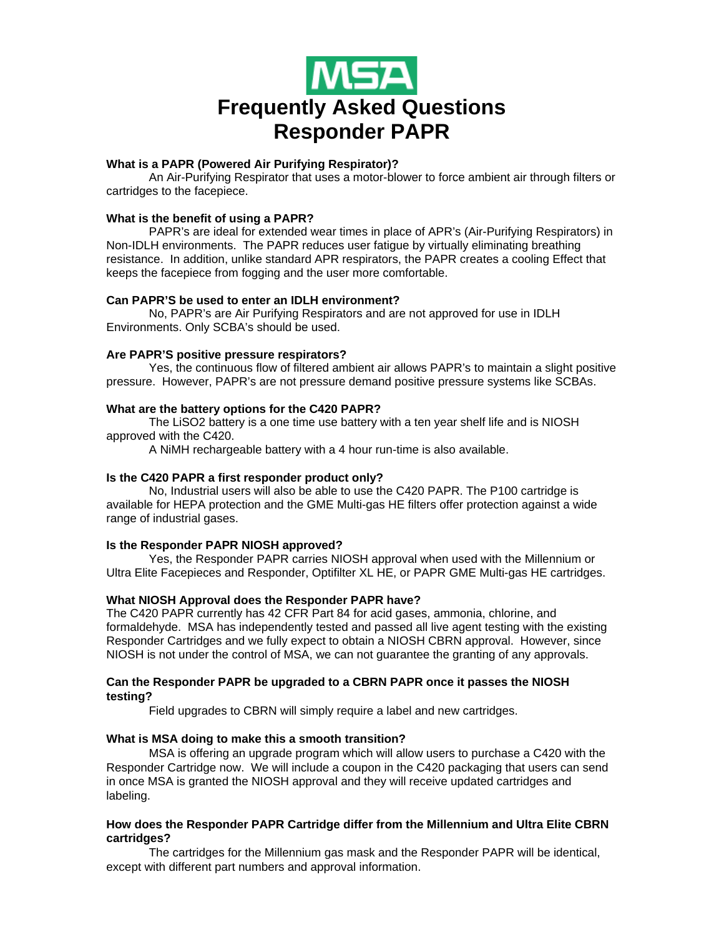

# **What is a PAPR (Powered Air Purifying Respirator)?**

An Air-Purifying Respirator that uses a motor-blower to force ambient air through filters or cartridges to the facepiece.

# **What is the benefit of using a PAPR?**

PAPR's are ideal for extended wear times in place of APR's (Air-Purifying Respirators) in Non-IDLH environments. The PAPR reduces user fatigue by virtually eliminating breathing resistance. In addition, unlike standard APR respirators, the PAPR creates a cooling Effect that keeps the facepiece from fogging and the user more comfortable.

# **Can PAPR'S be used to enter an IDLH environment?**

No, PAPR's are Air Purifying Respirators and are not approved for use in IDLH Environments. Only SCBA's should be used.

### **Are PAPR'S positive pressure respirators?**

Yes, the continuous flow of filtered ambient air allows PAPR's to maintain a slight positive pressure. However, PAPR's are not pressure demand positive pressure systems like SCBAs.

# **What are the battery options for the C420 PAPR?**

The LiSO2 battery is a one time use battery with a ten year shelf life and is NIOSH approved with the C420.

A NiMH rechargeable battery with a 4 hour run-time is also available.

### **Is the C420 PAPR a first responder product only?**

No, Industrial users will also be able to use the C420 PAPR. The P100 cartridge is available for HEPA protection and the GME Multi-gas HE filters offer protection against a wide range of industrial gases.

### **Is the Responder PAPR NIOSH approved?**

Yes, the Responder PAPR carries NIOSH approval when used with the Millennium or Ultra Elite Facepieces and Responder, Optifilter XL HE, or PAPR GME Multi-gas HE cartridges.

### **What NIOSH Approval does the Responder PAPR have?**

The C420 PAPR currently has 42 CFR Part 84 for acid gases, ammonia, chlorine, and formaldehyde. MSA has independently tested and passed all live agent testing with the existing Responder Cartridges and we fully expect to obtain a NIOSH CBRN approval. However, since NIOSH is not under the control of MSA, we can not guarantee the granting of any approvals.

### **Can the Responder PAPR be upgraded to a CBRN PAPR once it passes the NIOSH testing?**

Field upgrades to CBRN will simply require a label and new cartridges.

### **What is MSA doing to make this a smooth transition?**

MSA is offering an upgrade program which will allow users to purchase a C420 with the Responder Cartridge now. We will include a coupon in the C420 packaging that users can send in once MSA is granted the NIOSH approval and they will receive updated cartridges and labeling.

### **How does the Responder PAPR Cartridge differ from the Millennium and Ultra Elite CBRN cartridges?**

The cartridges for the Millennium gas mask and the Responder PAPR will be identical, except with different part numbers and approval information.